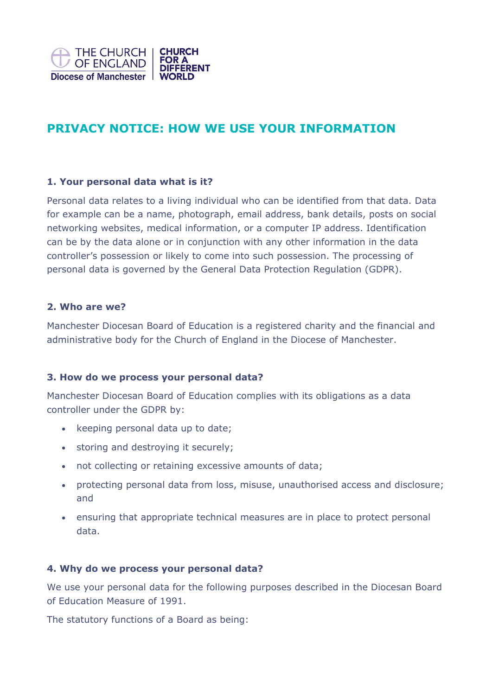

# **PRIVACY NOTICE: HOW WE USE YOUR INFORMATION**

## **1. Your personal data what is it?**

Personal data relates to a living individual who can be identified from that data. Data for example can be a name, photograph, email address, bank details, posts on social networking websites, medical information, or a computer IP address. Identification can be by the data alone or in conjunction with any other information in the data controller's possession or likely to come into such possession. The processing of personal data is governed by the General Data Protection Regulation (GDPR).

#### **2. Who are we?**

Manchester Diocesan Board of Education is a registered charity and the financial and administrative body for the Church of England in the Diocese of Manchester.

## **3. How do we process your personal data?**

Manchester Diocesan Board of Education complies with its obligations as a data controller under the GDPR by:

- keeping personal data up to date;
- storing and destroying it securely;
- not collecting or retaining excessive amounts of data;
- protecting personal data from loss, misuse, unauthorised access and disclosure; and
- ensuring that appropriate technical measures are in place to protect personal data.

## **4. Why do we process your personal data?**

We use your personal data for the following purposes described in the Diocesan Board of Education Measure of 1991.

The statutory functions of a Board as being: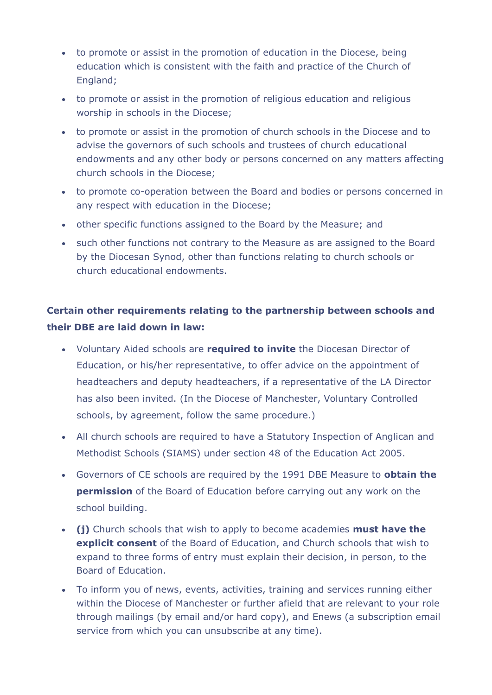- to promote or assist in the promotion of education in the Diocese, being education which is consistent with the faith and practice of the Church of England;
- to promote or assist in the promotion of religious education and religious worship in schools in the Diocese;
- to promote or assist in the promotion of church schools in the Diocese and to advise the governors of such schools and trustees of church educational endowments and any other body or persons concerned on any matters affecting church schools in the Diocese;
- to promote co-operation between the Board and bodies or persons concerned in any respect with education in the Diocese;
- other specific functions assigned to the Board by the Measure; and
- such other functions not contrary to the Measure as are assigned to the Board by the Diocesan Synod, other than functions relating to church schools or church educational endowments.

## **Certain other requirements relating to the partnership between schools and their DBE are laid down in law:**

- Voluntary Aided schools are **required to invite** the Diocesan Director of Education, or his/her representative, to offer advice on the appointment of headteachers and deputy headteachers, if a representative of the LA Director has also been invited. (In the Diocese of Manchester, Voluntary Controlled schools, by agreement, follow the same procedure.)
- All church schools are required to have a Statutory Inspection of Anglican and Methodist Schools (SIAMS) under section 48 of the Education Act 2005.
- Governors of CE schools are required by the 1991 DBE Measure to **obtain the permission** of the Board of Education before carrying out any work on the school building.
- **(j)** Church schools that wish to apply to become academies **must have the explicit consent** of the Board of Education, and Church schools that wish to expand to three forms of entry must explain their decision, in person, to the Board of Education.
- To inform you of news, events, activities, training and services running either within the Diocese of Manchester or further afield that are relevant to your role through mailings (by email and/or hard copy), and Enews (a subscription email service from which you can unsubscribe at any time).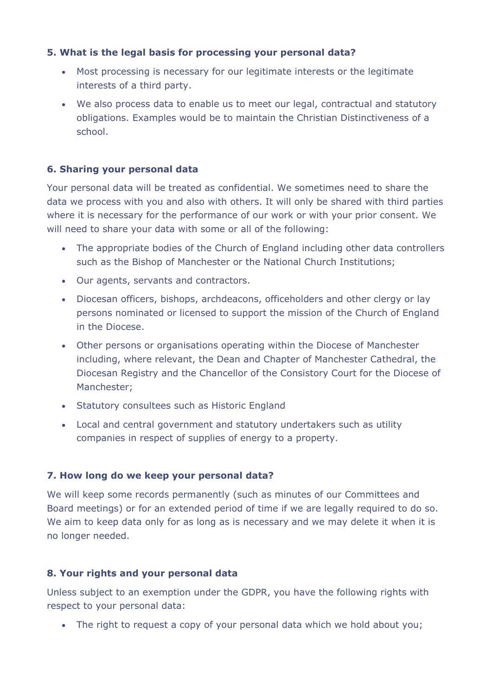## **5. What is the legal basis for processing your personal data?**

- Most processing is necessary for our legitimate interests or the legitimate interests of a third party.
- We also process data to enable us to meet our legal, contractual and statutory obligations. Examples would be to maintain the Christian Distinctiveness of a school.

## **6. Sharing your personal data**

Your personal data will be treated as confidential. We sometimes need to share the data we process with you and also with others. It will only be shared with third parties where it is necessary for the performance of our work or with your prior consent. We will need to share your data with some or all of the following:

- The appropriate bodies of the Church of England including other data controllers such as the Bishop of Manchester or the National Church Institutions;
- Our agents, servants and contractors.
- Diocesan officers, bishops, archdeacons, officeholders and other clergy or lay persons nominated or licensed to support the mission of the Church of England in the Diocese.
- Other persons or organisations operating within the Diocese of Manchester including, where relevant, the Dean and Chapter of Manchester Cathedral, the Diocesan Registry and the Chancellor of the Consistory Court for the Diocese of Manchester;
- Statutory consultees such as Historic England
- Local and central government and statutory undertakers such as utility companies in respect of supplies of energy to a property.

## **7. How long do we keep your personal data?**

We will keep some records permanently (such as minutes of our Committees and Board meetings) or for an extended period of time if we are legally required to do so. We aim to keep data only for as long as is necessary and we may delete it when it is no longer needed.

## **8. Your rights and your personal data**

Unless subject to an exemption under the GDPR, you have the following rights with respect to your personal data:

• The right to request a copy of your personal data which we hold about you;